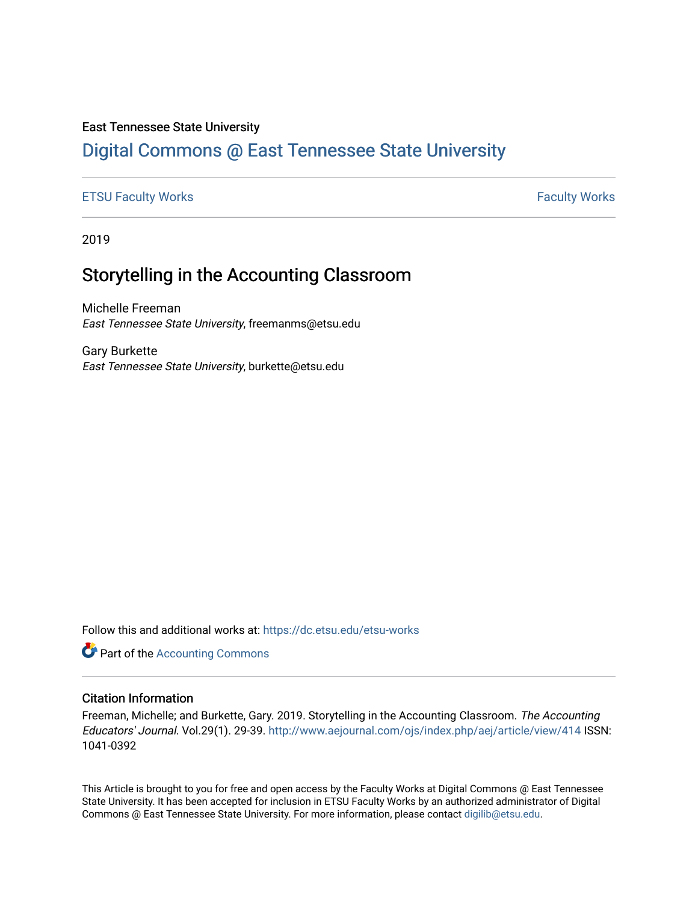### East Tennessee State University

# [Digital Commons @ East Tennessee State University](https://dc.etsu.edu/)

### [ETSU Faculty Works](https://dc.etsu.edu/etsu-works) **Faculty Works** [Faculty Works](https://dc.etsu.edu/faculty-works) **Faculty Works**

2019

# Storytelling in the Accounting Classroom

Michelle Freeman East Tennessee State University, freemanms@etsu.edu

Gary Burkette East Tennessee State University, burkette@etsu.edu

Follow this and additional works at: [https://dc.etsu.edu/etsu-works](https://dc.etsu.edu/etsu-works?utm_source=dc.etsu.edu%2Fetsu-works%2F6425&utm_medium=PDF&utm_campaign=PDFCoverPages) 

**Part of the [Accounting Commons](http://network.bepress.com/hgg/discipline/625?utm_source=dc.etsu.edu%2Fetsu-works%2F6425&utm_medium=PDF&utm_campaign=PDFCoverPages)** 

### Citation Information

Freeman, Michelle; and Burkette, Gary. 2019. Storytelling in the Accounting Classroom. The Accounting Educators' Journal. Vol.29(1). 29-39. <http://www.aejournal.com/ojs/index.php/aej/article/view/414> ISSN: 1041-0392

This Article is brought to you for free and open access by the Faculty Works at Digital Commons @ East Tennessee State University. It has been accepted for inclusion in ETSU Faculty Works by an authorized administrator of Digital Commons @ East Tennessee State University. For more information, please contact [digilib@etsu.edu.](mailto:digilib@etsu.edu)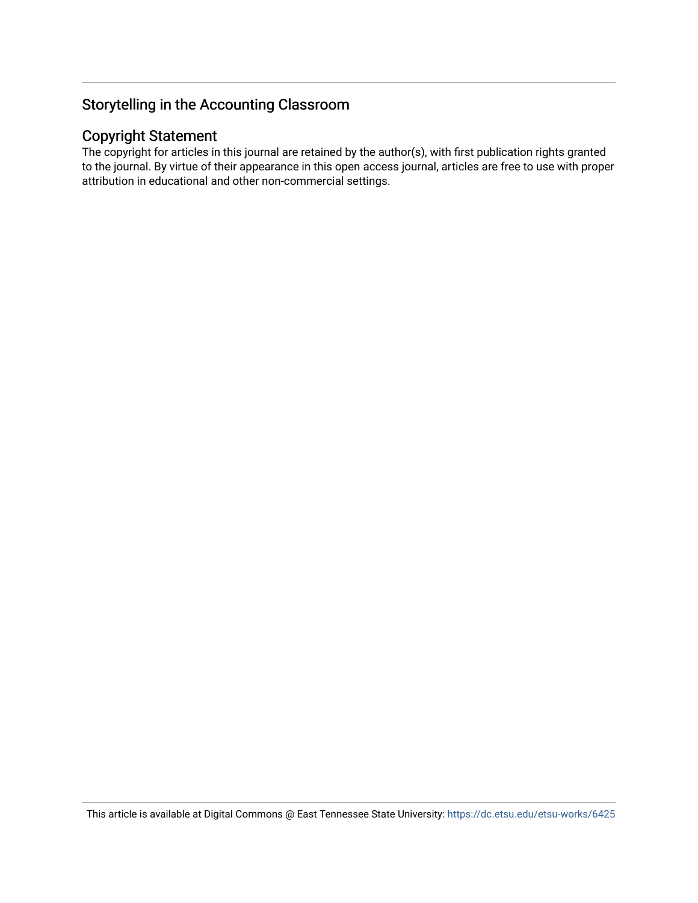## Copyright Statement

The copyright for articles in this journal are retained by the author(s), with first publication rights granted to the journal. By virtue of their appearance in this open access journal, articles are free to use with proper attribution in educational and other non-commercial settings.

This article is available at Digital Commons @ East Tennessee State University: <https://dc.etsu.edu/etsu-works/6425>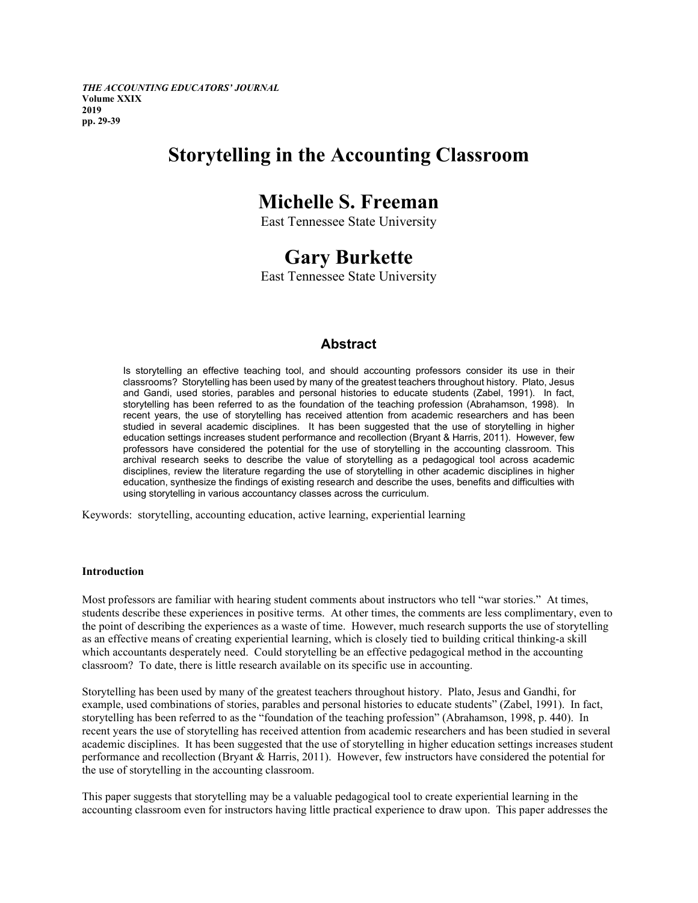*THE ACCOUNTING EDUCATORS' JOURNAL* **Volume XXIX 2019 pp. 29-39**

# **Storytelling in the Accounting Classroom**

# **Michelle S. Freeman**

East Tennessee State University

# **Gary Burkette**

East Tennessee State University

### **Abstract**

Is storytelling an effective teaching tool, and should accounting professors consider its use in their classrooms? Storytelling has been used by many of the greatest teachers throughout history. Plato, Jesus and Gandi, used stories, parables and personal histories to educate students (Zabel, 1991). In fact, storytelling has been referred to as the foundation of the teaching profession (Abrahamson, 1998). In recent years, the use of storytelling has received attention from academic researchers and has been studied in several academic disciplines. It has been suggested that the use of storytelling in higher education settings increases student performance and recollection (Bryant & Harris, 2011). However, few professors have considered the potential for the use of storytelling in the accounting classroom. This archival research seeks to describe the value of storytelling as a pedagogical tool across academic disciplines, review the literature regarding the use of storytelling in other academic disciplines in higher education, synthesize the findings of existing research and describe the uses, benefits and difficulties with using storytelling in various accountancy classes across the curriculum.

Keywords: storytelling, accounting education, active learning, experiential learning

#### **Introduction**

Most professors are familiar with hearing student comments about instructors who tell "war stories." At times, students describe these experiences in positive terms. At other times, the comments are less complimentary, even to the point of describing the experiences as a waste of time. However, much research supports the use of storytelling as an effective means of creating experiential learning, which is closely tied to building critical thinking-a skill which accountants desperately need. Could storytelling be an effective pedagogical method in the accounting classroom? To date, there is little research available on its specific use in accounting.

Storytelling has been used by many of the greatest teachers throughout history. Plato, Jesus and Gandhi, for example, used combinations of stories, parables and personal histories to educate students" (Zabel, 1991). In fact, storytelling has been referred to as the "foundation of the teaching profession" (Abrahamson, 1998, p. 440). In recent years the use of storytelling has received attention from academic researchers and has been studied in several academic disciplines. It has been suggested that the use of storytelling in higher education settings increases student performance and recollection (Bryant & Harris, 2011). However, few instructors have considered the potential for the use of storytelling in the accounting classroom.

This paper suggests that storytelling may be a valuable pedagogical tool to create experiential learning in the accounting classroom even for instructors having little practical experience to draw upon. This paper addresses the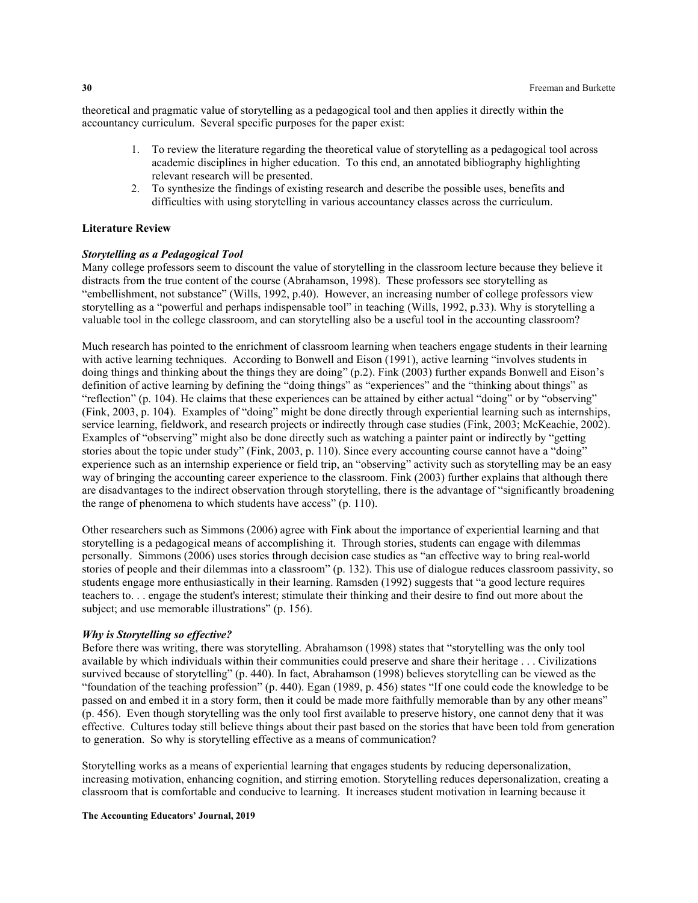theoretical and pragmatic value of storytelling as a pedagogical tool and then applies it directly within the accountancy curriculum. Several specific purposes for the paper exist:

- 1. To review the literature regarding the theoretical value of storytelling as a pedagogical tool across academic disciplines in higher education. To this end, an annotated bibliography highlighting relevant research will be presented.
- 2. To synthesize the findings of existing research and describe the possible uses, benefits and difficulties with using storytelling in various accountancy classes across the curriculum.

#### **Literature Review**

#### *Storytelling as a Pedagogical Tool*

Many college professors seem to discount the value of storytelling in the classroom lecture because they believe it distracts from the true content of the course (Abrahamson, 1998). These professors see storytelling as "embellishment, not substance" (Wills, 1992, p.40). However, an increasing number of college professors view storytelling as a "powerful and perhaps indispensable tool" in teaching (Wills, 1992, p.33). Why is storytelling a valuable tool in the college classroom, and can storytelling also be a useful tool in the accounting classroom?

Much research has pointed to the enrichment of classroom learning when teachers engage students in their learning with active learning techniques. According to Bonwell and Eison (1991), active learning "involves students in doing things and thinking about the things they are doing" (p.2). Fink (2003) further expands Bonwell and Eison's definition of active learning by defining the "doing things" as "experiences" and the "thinking about things" as "reflection" (p. 104). He claims that these experiences can be attained by either actual "doing" or by "observing" (Fink, 2003, p. 104). Examples of "doing" might be done directly through experiential learning such as internships, service learning, fieldwork, and research projects or indirectly through case studies (Fink, 2003; McKeachie, 2002). Examples of "observing" might also be done directly such as watching a painter paint or indirectly by "getting stories about the topic under study" (Fink, 2003, p. 110). Since every accounting course cannot have a "doing" experience such as an internship experience or field trip, an "observing" activity such as storytelling may be an easy way of bringing the accounting career experience to the classroom. Fink (2003) further explains that although there are disadvantages to the indirect observation through storytelling, there is the advantage of "significantly broadening the range of phenomena to which students have access" (p. 110).

Other researchers such as Simmons (2006) agree with Fink about the importance of experiential learning and that storytelling is a pedagogical means of accomplishing it. Through stories, students can engage with dilemmas personally. Simmons (2006) uses stories through decision case studies as "an effective way to bring real-world stories of people and their dilemmas into a classroom" (p. 132). This use of dialogue reduces classroom passivity, so students engage more enthusiastically in their learning. Ramsden (1992) suggests that "a good lecture requires teachers to. . . engage the student's interest; stimulate their thinking and their desire to find out more about the subject; and use memorable illustrations" (p. 156).

#### *Why is Storytelling so effective?*

Before there was writing, there was storytelling. Abrahamson (1998) states that "storytelling was the only tool available by which individuals within their communities could preserve and share their heritage . . . Civilizations survived because of storytelling" (p. 440). In fact, Abrahamson (1998) believes storytelling can be viewed as the "foundation of the teaching profession" (p. 440). Egan (1989, p. 456) states "If one could code the knowledge to be passed on and embed it in a story form, then it could be made more faithfully memorable than by any other means" (p. 456). Even though storytelling was the only tool first available to preserve history, one cannot deny that it was effective. Cultures today still believe things about their past based on the stories that have been told from generation to generation. So why is storytelling effective as a means of communication?

Storytelling works as a means of experiential learning that engages students by reducing depersonalization, increasing motivation, enhancing cognition, and stirring emotion. Storytelling reduces depersonalization, creating a classroom that is comfortable and conducive to learning. It increases student motivation in learning because it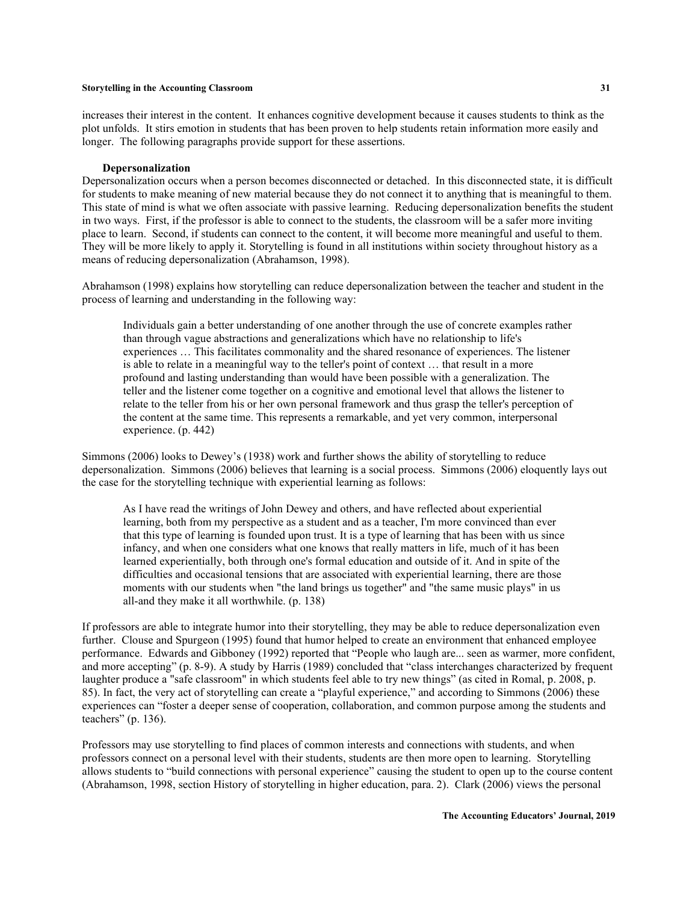increases their interest in the content. It enhances cognitive development because it causes students to think as the plot unfolds. It stirs emotion in students that has been proven to help students retain information more easily and longer. The following paragraphs provide support for these assertions.

#### **Depersonalization**

Depersonalization occurs when a person becomes disconnected or detached. In this disconnected state, it is difficult for students to make meaning of new material because they do not connect it to anything that is meaningful to them. This state of mind is what we often associate with passive learning. Reducing depersonalization benefits the student in two ways. First, if the professor is able to connect to the students, the classroom will be a safer more inviting place to learn. Second, if students can connect to the content, it will become more meaningful and useful to them. They will be more likely to apply it. Storytelling is found in all institutions within society throughout history as a means of reducing depersonalization (Abrahamson, 1998).

Abrahamson (1998) explains how storytelling can reduce depersonalization between the teacher and student in the process of learning and understanding in the following way:

Individuals gain a better understanding of one another through the use of concrete examples rather than through vague abstractions and generalizations which have no relationship to life's experiences … This facilitates commonality and the shared resonance of experiences. The listener is able to relate in a meaningful way to the teller's point of context … that result in a more profound and lasting understanding than would have been possible with a generalization. The teller and the listener come together on a cognitive and emotional level that allows the listener to relate to the teller from his or her own personal framework and thus grasp the teller's perception of the content at the same time. This represents a remarkable, and yet very common, interpersonal experience. (p. 442)

Simmons (2006) looks to Dewey's (1938) work and further shows the ability of storytelling to reduce depersonalization. Simmons (2006) believes that learning is a social process. Simmons (2006) eloquently lays out the case for the storytelling technique with experiential learning as follows:

As I have read the writings of John Dewey and others, and have reflected about experiential learning, both from my perspective as a student and as a teacher, I'm more convinced than ever that this type of learning is founded upon trust. It is a type of learning that has been with us since infancy, and when one considers what one knows that really matters in life, much of it has been learned experientially, both through one's formal education and outside of it. And in spite of the difficulties and occasional tensions that are associated with experiential learning, there are those moments with our students when "the land brings us together" and "the same music plays" in us all-and they make it all worthwhile. (p. 138)

If professors are able to integrate humor into their storytelling, they may be able to reduce depersonalization even further. Clouse and Spurgeon (1995) found that humor helped to create an environment that enhanced employee performance. Edwards and Gibboney (1992) reported that "People who laugh are... seen as warmer, more confident, and more accepting" (p. 8-9). A study by Harris (1989) concluded that "class interchanges characterized by frequent laughter produce a "safe classroom" in which students feel able to try new things" (as cited in Romal, p. 2008, p. 85). In fact, the very act of storytelling can create a "playful experience," and according to Simmons (2006) these experiences can "foster a deeper sense of cooperation, collaboration, and common purpose among the students and teachers" (p. 136).

Professors may use storytelling to find places of common interests and connections with students, and when professors connect on a personal level with their students, students are then more open to learning. Storytelling allows students to "build connections with personal experience" causing the student to open up to the course content (Abrahamson, 1998, section History of storytelling in higher education, para. 2). Clark (2006) views the personal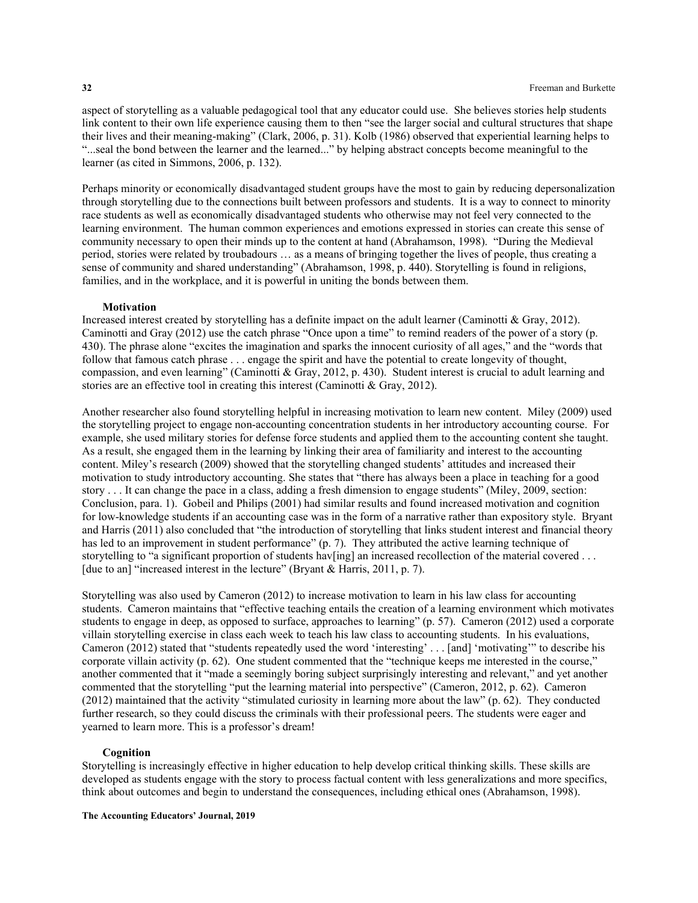aspect of storytelling as a valuable pedagogical tool that any educator could use. She believes stories help students link content to their own life experience causing them to then "see the larger social and cultural structures that shape their lives and their meaning-making" (Clark, 2006, p. 31). Kolb (1986) observed that experiential learning helps to "...seal the bond between the learner and the learned..." by helping abstract concepts become meaningful to the learner (as cited in Simmons, 2006, p. 132).

Perhaps minority or economically disadvantaged student groups have the most to gain by reducing depersonalization through storytelling due to the connections built between professors and students. It is a way to connect to minority race students as well as economically disadvantaged students who otherwise may not feel very connected to the learning environment. The human common experiences and emotions expressed in stories can create this sense of community necessary to open their minds up to the content at hand (Abrahamson, 1998). "During the Medieval period, stories were related by troubadours … as a means of bringing together the lives of people, thus creating a sense of community and shared understanding" (Abrahamson, 1998, p. 440). Storytelling is found in religions, families, and in the workplace, and it is powerful in uniting the bonds between them.

#### **Motivation**

Increased interest created by storytelling has a definite impact on the adult learner (Caminotti & Gray, 2012). Caminotti and Gray (2012) use the catch phrase "Once upon a time" to remind readers of the power of a story (p. 430). The phrase alone "excites the imagination and sparks the innocent curiosity of all ages," and the "words that follow that famous catch phrase . . . engage the spirit and have the potential to create longevity of thought, compassion, and even learning" (Caminotti & Gray, 2012, p. 430). Student interest is crucial to adult learning and stories are an effective tool in creating this interest (Caminotti & Gray, 2012).

Another researcher also found storytelling helpful in increasing motivation to learn new content. Miley (2009) used the storytelling project to engage non-accounting concentration students in her introductory accounting course. For example, she used military stories for defense force students and applied them to the accounting content she taught. As a result, she engaged them in the learning by linking their area of familiarity and interest to the accounting content. Miley's research (2009) showed that the storytelling changed students' attitudes and increased their motivation to study introductory accounting. She states that "there has always been a place in teaching for a good story . . . It can change the pace in a class, adding a fresh dimension to engage students" (Miley, 2009, section: Conclusion, para. 1). Gobeil and Philips (2001) had similar results and found increased motivation and cognition for low-knowledge students if an accounting case was in the form of a narrative rather than expository style. Bryant and Harris (2011) also concluded that "the introduction of storytelling that links student interest and financial theory has led to an improvement in student performance" (p. 7). They attributed the active learning technique of storytelling to "a significant proportion of students hav[ing] an increased recollection of the material covered ... [due to an] "increased interest in the lecture" (Bryant & Harris, 2011, p. 7).

Storytelling was also used by Cameron (2012) to increase motivation to learn in his law class for accounting students. Cameron maintains that "effective teaching entails the creation of a learning environment which motivates students to engage in deep, as opposed to surface, approaches to learning" (p. 57). Cameron (2012) used a corporate villain storytelling exercise in class each week to teach his law class to accounting students. In his evaluations, Cameron (2012) stated that "students repeatedly used the word 'interesting' . . . [and] 'motivating'" to describe his corporate villain activity (p. 62). One student commented that the "technique keeps me interested in the course," another commented that it "made a seemingly boring subject surprisingly interesting and relevant," and yet another commented that the storytelling "put the learning material into perspective" (Cameron, 2012, p. 62). Cameron (2012) maintained that the activity "stimulated curiosity in learning more about the law" (p. 62). They conducted further research, so they could discuss the criminals with their professional peers. The students were eager and yearned to learn more. This is a professor's dream!

### **Cognition**

Storytelling is increasingly effective in higher education to help develop critical thinking skills. These skills are developed as students engage with the story to process factual content with less generalizations and more specifics, think about outcomes and begin to understand the consequences, including ethical ones (Abrahamson, 1998).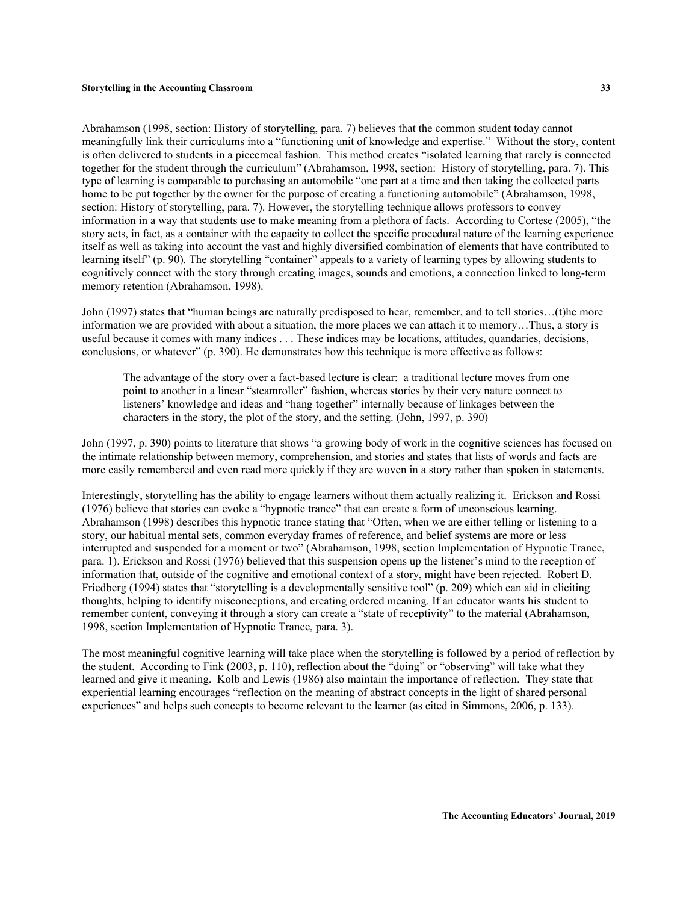Abrahamson (1998, section: History of storytelling, para. 7) believes that the common student today cannot meaningfully link their curriculums into a "functioning unit of knowledge and expertise." Without the story, content is often delivered to students in a piecemeal fashion. This method creates "isolated learning that rarely is connected together for the student through the curriculum" (Abrahamson, 1998, section: History of storytelling, para. 7). This type of learning is comparable to purchasing an automobile "one part at a time and then taking the collected parts home to be put together by the owner for the purpose of creating a functioning automobile" (Abrahamson, 1998, section: History of storytelling, para. 7). However, the storytelling technique allows professors to convey information in a way that students use to make meaning from a plethora of facts. According to Cortese (2005), "the story acts, in fact, as a container with the capacity to collect the specific procedural nature of the learning experience itself as well as taking into account the vast and highly diversified combination of elements that have contributed to learning itself" (p. 90). The storytelling "container" appeals to a variety of learning types by allowing students to cognitively connect with the story through creating images, sounds and emotions, a connection linked to long-term memory retention (Abrahamson, 1998).

John (1997) states that "human beings are naturally predisposed to hear, remember, and to tell stories…(t)he more information we are provided with about a situation, the more places we can attach it to memory…Thus, a story is useful because it comes with many indices . . . These indices may be locations, attitudes, quandaries, decisions, conclusions, or whatever" (p. 390). He demonstrates how this technique is more effective as follows:

The advantage of the story over a fact-based lecture is clear: a traditional lecture moves from one point to another in a linear "steamroller" fashion, whereas stories by their very nature connect to listeners' knowledge and ideas and "hang together" internally because of linkages between the characters in the story, the plot of the story, and the setting. (John, 1997, p. 390)

John (1997, p. 390) points to literature that shows "a growing body of work in the cognitive sciences has focused on the intimate relationship between memory, comprehension, and stories and states that lists of words and facts are more easily remembered and even read more quickly if they are woven in a story rather than spoken in statements.

Interestingly, storytelling has the ability to engage learners without them actually realizing it. Erickson and Rossi (1976) believe that stories can evoke a "hypnotic trance" that can create a form of unconscious learning. Abrahamson (1998) describes this hypnotic trance stating that "Often, when we are either telling or listening to a story, our habitual mental sets, common everyday frames of reference, and belief systems are more or less interrupted and suspended for a moment or two" (Abrahamson, 1998, section Implementation of Hypnotic Trance, para. 1). Erickson and Rossi (1976) believed that this suspension opens up the listener's mind to the reception of information that, outside of the cognitive and emotional context of a story, might have been rejected. Robert D. Friedberg (1994) states that "storytelling is a developmentally sensitive tool" (p. 209) which can aid in eliciting thoughts, helping to identify misconceptions, and creating ordered meaning. If an educator wants his student to remember content, conveying it through a story can create a "state of receptivity" to the material (Abrahamson, 1998, section Implementation of Hypnotic Trance, para. 3).

The most meaningful cognitive learning will take place when the storytelling is followed by a period of reflection by the student. According to Fink (2003, p. 110), reflection about the "doing" or "observing" will take what they learned and give it meaning. Kolb and Lewis (1986) also maintain the importance of reflection. They state that experiential learning encourages "reflection on the meaning of abstract concepts in the light of shared personal experiences" and helps such concepts to become relevant to the learner (as cited in Simmons, 2006, p. 133).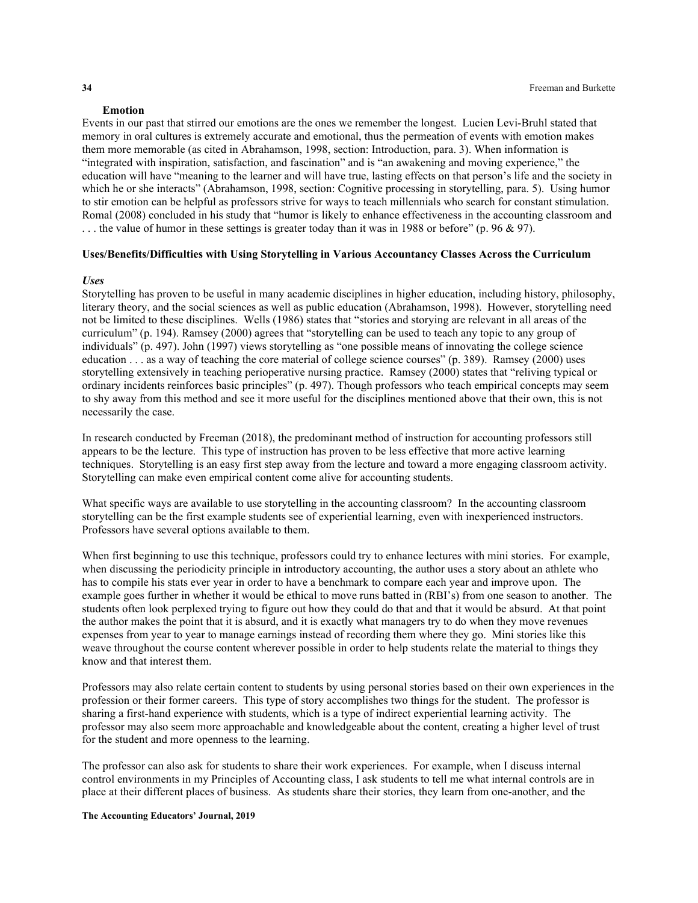#### **Emotion**

Events in our past that stirred our emotions are the ones we remember the longest. Lucien Levi-Bruhl stated that memory in oral cultures is extremely accurate and emotional, thus the permeation of events with emotion makes them more memorable (as cited in Abrahamson, 1998, section: Introduction, para. 3). When information is "integrated with inspiration, satisfaction, and fascination" and is "an awakening and moving experience," the education will have "meaning to the learner and will have true, lasting effects on that person's life and the society in which he or she interacts" (Abrahamson, 1998, section: Cognitive processing in storytelling, para. 5). Using humor to stir emotion can be helpful as professors strive for ways to teach millennials who search for constant stimulation. Romal (2008) concluded in his study that "humor is likely to enhance effectiveness in the accounting classroom and . . . the value of humor in these settings is greater today than it was in 1988 or before" (p. 96 & 97).

### **Uses/Benefits/Difficulties with Using Storytelling in Various Accountancy Classes Across the Curriculum**

### *Uses*

Storytelling has proven to be useful in many academic disciplines in higher education, including history, philosophy, literary theory, and the social sciences as well as public education (Abrahamson, 1998). However, storytelling need not be limited to these disciplines. Wells (1986) states that "stories and storying are relevant in all areas of the curriculum" (p. 194). Ramsey (2000) agrees that "storytelling can be used to teach any topic to any group of individuals" (p. 497). John (1997) views storytelling as "one possible means of innovating the college science education . . . as a way of teaching the core material of college science courses" (p. 389). Ramsey (2000) uses storytelling extensively in teaching perioperative nursing practice. Ramsey (2000) states that "reliving typical or ordinary incidents reinforces basic principles" (p. 497). Though professors who teach empirical concepts may seem to shy away from this method and see it more useful for the disciplines mentioned above that their own, this is not necessarily the case.

In research conducted by Freeman (2018), the predominant method of instruction for accounting professors still appears to be the lecture. This type of instruction has proven to be less effective that more active learning techniques. Storytelling is an easy first step away from the lecture and toward a more engaging classroom activity. Storytelling can make even empirical content come alive for accounting students.

What specific ways are available to use storytelling in the accounting classroom? In the accounting classroom storytelling can be the first example students see of experiential learning, even with inexperienced instructors. Professors have several options available to them.

When first beginning to use this technique, professors could try to enhance lectures with mini stories. For example, when discussing the periodicity principle in introductory accounting, the author uses a story about an athlete who has to compile his stats ever year in order to have a benchmark to compare each year and improve upon. The example goes further in whether it would be ethical to move runs batted in (RBI's) from one season to another. The students often look perplexed trying to figure out how they could do that and that it would be absurd. At that point the author makes the point that it is absurd, and it is exactly what managers try to do when they move revenues expenses from year to year to manage earnings instead of recording them where they go. Mini stories like this weave throughout the course content wherever possible in order to help students relate the material to things they know and that interest them.

Professors may also relate certain content to students by using personal stories based on their own experiences in the profession or their former careers. This type of story accomplishes two things for the student. The professor is sharing a first-hand experience with students, which is a type of indirect experiential learning activity. The professor may also seem more approachable and knowledgeable about the content, creating a higher level of trust for the student and more openness to the learning.

The professor can also ask for students to share their work experiences. For example, when I discuss internal control environments in my Principles of Accounting class, I ask students to tell me what internal controls are in place at their different places of business. As students share their stories, they learn from one-another, and the

#### **The Accounting Educators' Journal, 2019**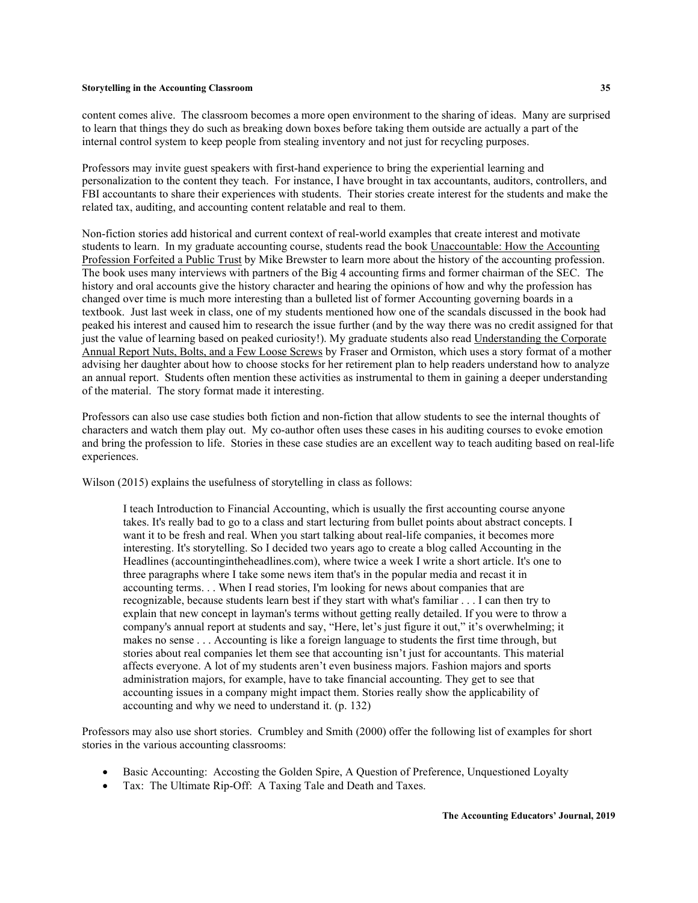content comes alive. The classroom becomes a more open environment to the sharing of ideas. Many are surprised to learn that things they do such as breaking down boxes before taking them outside are actually a part of the internal control system to keep people from stealing inventory and not just for recycling purposes.

Professors may invite guest speakers with first-hand experience to bring the experiential learning and personalization to the content they teach. For instance, I have brought in tax accountants, auditors, controllers, and FBI accountants to share their experiences with students. Their stories create interest for the students and make the related tax, auditing, and accounting content relatable and real to them.

Non-fiction stories add historical and current context of real-world examples that create interest and motivate students to learn. In my graduate accounting course, students read the book Unaccountable: How the Accounting Profession Forfeited a Public Trust by Mike Brewster to learn more about the history of the accounting profession. The book uses many interviews with partners of the Big 4 accounting firms and former chairman of the SEC. The history and oral accounts give the history character and hearing the opinions of how and why the profession has changed over time is much more interesting than a bulleted list of former Accounting governing boards in a textbook. Just last week in class, one of my students mentioned how one of the scandals discussed in the book had peaked his interest and caused him to research the issue further (and by the way there was no credit assigned for that just the value of learning based on peaked curiosity!). My graduate students also read Understanding the Corporate Annual Report Nuts, Bolts, and a Few Loose Screws by Fraser and Ormiston, which uses a story format of a mother advising her daughter about how to choose stocks for her retirement plan to help readers understand how to analyze an annual report. Students often mention these activities as instrumental to them in gaining a deeper understanding of the material. The story format made it interesting.

Professors can also use case studies both fiction and non-fiction that allow students to see the internal thoughts of characters and watch them play out. My co-author often uses these cases in his auditing courses to evoke emotion and bring the profession to life. Stories in these case studies are an excellent way to teach auditing based on real-life experiences.

Wilson (2015) explains the usefulness of storytelling in class as follows:

I teach Introduction to Financial Accounting, which is usually the first accounting course anyone takes. It's really bad to go to a class and start lecturing from bullet points about abstract concepts. I want it to be fresh and real. When you start talking about real-life companies, it becomes more interesting. It's storytelling. So I decided two years ago to create a blog called Accounting in the Headlines (accountingintheheadlines.com), where twice a week I write a short article. It's one to three paragraphs where I take some news item that's in the popular media and recast it in accounting terms. . . When I read stories, I'm looking for news about companies that are recognizable, because students learn best if they start with what's familiar . . . I can then try to explain that new concept in layman's terms without getting really detailed. If you were to throw a company's annual report at students and say, "Here, let's just figure it out," it's overwhelming; it makes no sense . . . Accounting is like a foreign language to students the first time through, but stories about real companies let them see that accounting isn't just for accountants. This material affects everyone. A lot of my students aren't even business majors. Fashion majors and sports administration majors, for example, have to take financial accounting. They get to see that accounting issues in a company might impact them. Stories really show the applicability of accounting and why we need to understand it. (p. 132)

Professors may also use short stories. Crumbley and Smith (2000) offer the following list of examples for short stories in the various accounting classrooms:

- Basic Accounting: Accosting the Golden Spire, A Question of Preference, Unquestioned Loyalty
- Tax: The Ultimate Rip-Off: A Taxing Tale and Death and Taxes.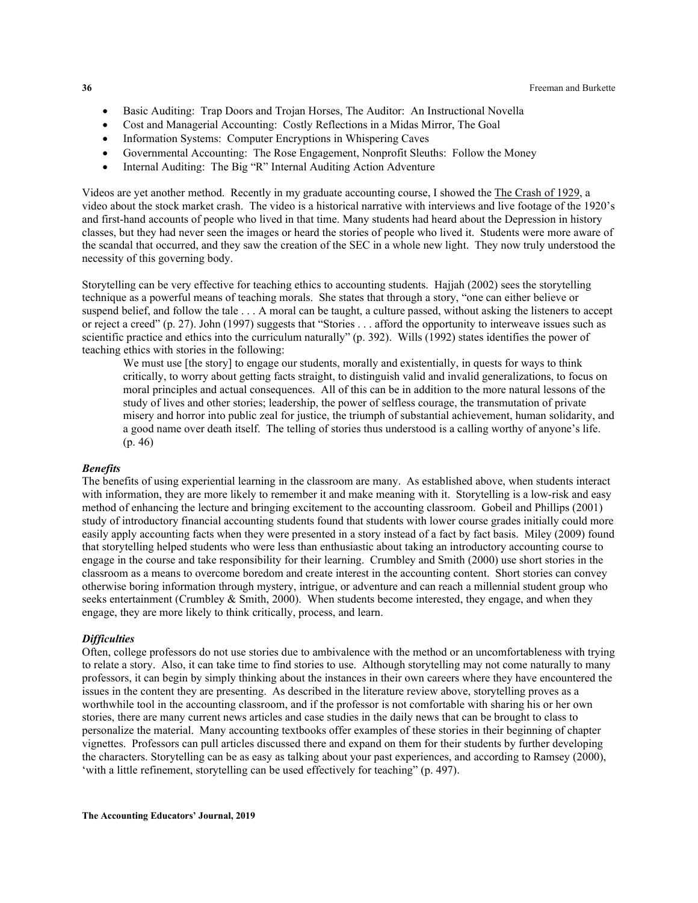- Basic Auditing: Trap Doors and Trojan Horses, The Auditor: An Instructional Novella
- Cost and Managerial Accounting: Costly Reflections in a Midas Mirror, The Goal
- Information Systems: Computer Encryptions in Whispering Caves
- Governmental Accounting: The Rose Engagement, Nonprofit Sleuths: Follow the Money
- Internal Auditing: The Big "R" Internal Auditing Action Adventure

Videos are yet another method. Recently in my graduate accounting course, I showed the The Crash of 1929, a video about the stock market crash. The video is a historical narrative with interviews and live footage of the 1920's and first-hand accounts of people who lived in that time. Many students had heard about the Depression in history classes, but they had never seen the images or heard the stories of people who lived it. Students were more aware of the scandal that occurred, and they saw the creation of the SEC in a whole new light. They now truly understood the necessity of this governing body.

Storytelling can be very effective for teaching ethics to accounting students. Hajjah (2002) sees the storytelling technique as a powerful means of teaching morals. She states that through a story, "one can either believe or suspend belief, and follow the tale . . . A moral can be taught, a culture passed, without asking the listeners to accept or reject a creed" (p. 27). John (1997) suggests that "Stories . . . afford the opportunity to interweave issues such as scientific practice and ethics into the curriculum naturally" (p. 392). Wills (1992) states identifies the power of teaching ethics with stories in the following:

We must use [the story] to engage our students, morally and existentially, in quests for ways to think critically, to worry about getting facts straight, to distinguish valid and invalid generalizations, to focus on moral principles and actual consequences. All of this can be in addition to the more natural lessons of the study of lives and other stories; leadership, the power of selfless courage, the transmutation of private misery and horror into public zeal for justice, the triumph of substantial achievement, human solidarity, and a good name over death itself. The telling of stories thus understood is a calling worthy of anyone's life. (p. 46)

#### *Benefits*

The benefits of using experiential learning in the classroom are many. As established above, when students interact with information, they are more likely to remember it and make meaning with it. Storytelling is a low-risk and easy method of enhancing the lecture and bringing excitement to the accounting classroom. Gobeil and Phillips (2001) study of introductory financial accounting students found that students with lower course grades initially could more easily apply accounting facts when they were presented in a story instead of a fact by fact basis. Miley (2009) found that storytelling helped students who were less than enthusiastic about taking an introductory accounting course to engage in the course and take responsibility for their learning. Crumbley and Smith (2000) use short stories in the classroom as a means to overcome boredom and create interest in the accounting content. Short stories can convey otherwise boring information through mystery, intrigue, or adventure and can reach a millennial student group who seeks entertainment (Crumbley & Smith, 2000). When students become interested, they engage, and when they engage, they are more likely to think critically, process, and learn.

### *Difficulties*

Often, college professors do not use stories due to ambivalence with the method or an uncomfortableness with trying to relate a story. Also, it can take time to find stories to use. Although storytelling may not come naturally to many professors, it can begin by simply thinking about the instances in their own careers where they have encountered the issues in the content they are presenting. As described in the literature review above, storytelling proves as a worthwhile tool in the accounting classroom, and if the professor is not comfortable with sharing his or her own stories, there are many current news articles and case studies in the daily news that can be brought to class to personalize the material. Many accounting textbooks offer examples of these stories in their beginning of chapter vignettes. Professors can pull articles discussed there and expand on them for their students by further developing the characters. Storytelling can be as easy as talking about your past experiences, and according to Ramsey (2000), 'with a little refinement, storytelling can be used effectively for teaching" (p. 497).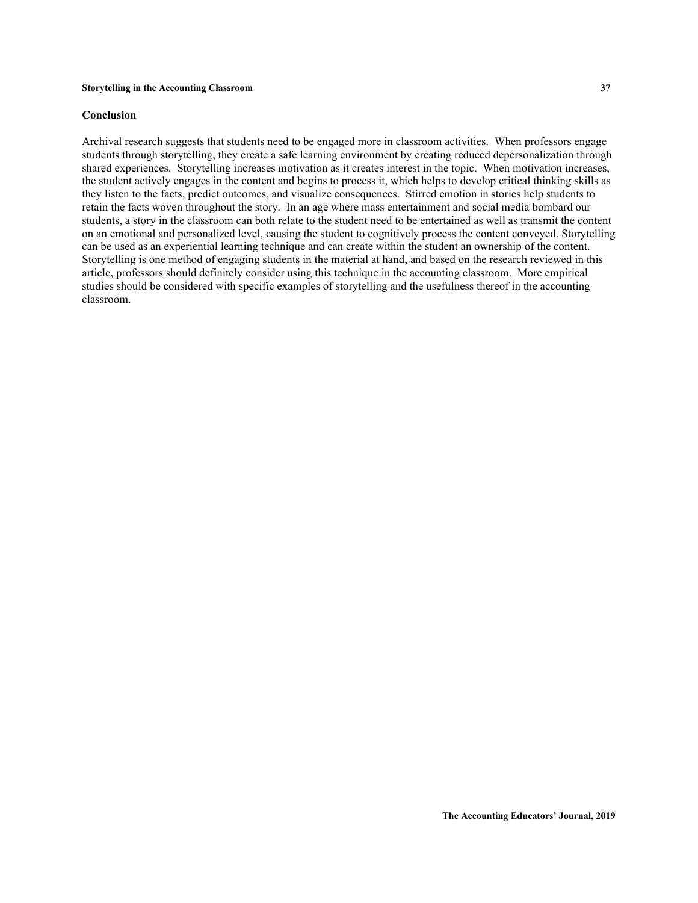#### **Conclusion**

Archival research suggests that students need to be engaged more in classroom activities. When professors engage students through storytelling, they create a safe learning environment by creating reduced depersonalization through shared experiences. Storytelling increases motivation as it creates interest in the topic. When motivation increases, the student actively engages in the content and begins to process it, which helps to develop critical thinking skills as they listen to the facts, predict outcomes, and visualize consequences. Stirred emotion in stories help students to retain the facts woven throughout the story. In an age where mass entertainment and social media bombard our students, a story in the classroom can both relate to the student need to be entertained as well as transmit the content on an emotional and personalized level, causing the student to cognitively process the content conveyed. Storytelling can be used as an experiential learning technique and can create within the student an ownership of the content. Storytelling is one method of engaging students in the material at hand, and based on the research reviewed in this article, professors should definitely consider using this technique in the accounting classroom. More empirical studies should be considered with specific examples of storytelling and the usefulness thereof in the accounting classroom.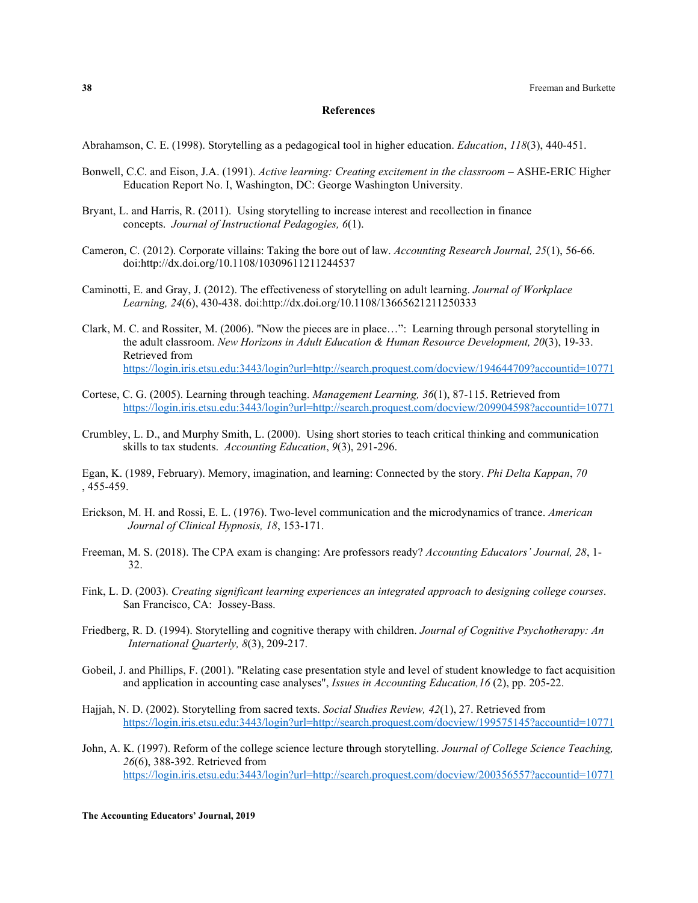#### **References**

Abrahamson, C. E. (1998). Storytelling as a pedagogical tool in higher education. *Education*, *118*(3), 440-451.

- Bonwell, C.C. and Eison, J.A. (1991). *Active learning: Creating excitement in the classroom* ASHE‐ERIC Higher Education Report No. I, Washington, DC: George Washington University.
- Bryant, L. and Harris, R. (2011). Using storytelling to increase interest and recollection in finance concepts. *Journal of Instructional Pedagogies, 6*(1).
- Cameron, C. (2012). Corporate villains: Taking the bore out of law. *Accounting Research Journal, 25*(1), 56-66. doi:http://dx.doi.org/10.1108/10309611211244537
- Caminotti, E. and Gray, J. (2012). The effectiveness of storytelling on adult learning. *Journal of Workplace Learning, 24*(6), 430-438. doi:http://dx.doi.org/10.1108/13665621211250333
- Clark, M. C. and Rossiter, M. (2006). "Now the pieces are in place…": Learning through personal storytelling in the adult classroom. *New Horizons in Adult Education & Human Resource Development, 20*(3), 19-33. Retrieved from <https://login.iris.etsu.edu:3443/login?url=http://search.proquest.com/docview/194644709?accountid=10771>
- Cortese, C. G. (2005). Learning through teaching. *Management Learning, 36*(1), 87-115. Retrieved from <https://login.iris.etsu.edu:3443/login?url=http://search.proquest.com/docview/209904598?accountid=10771>
- Crumbley, L. D., and Murphy Smith, L. (2000). Using short stories to teach critical thinking and communication skills to tax students. *Accounting Education*, *9*(3), 291-296.

Egan, K. (1989, February). Memory, imagination, and learning: Connected by the story. *Phi Delta Kappan*, *70* , 455-459.

- Erickson, M. H. and Rossi, E. L. (1976). Two-level communication and the microdynamics of trance. *American Journal of Clinical Hypnosis, 18*, 153-171.
- Freeman, M. S. (2018). The CPA exam is changing: Are professors ready? *Accounting Educators' Journal, 28*, 1- 32.
- Fink, L. D. (2003). *Creating significant learning experiences an integrated approach to designing college courses*. San Francisco, CA: Jossey-Bass.
- Friedberg, R. D. (1994). Storytelling and cognitive therapy with children. *Journal of Cognitive Psychotherapy: An International Quarterly, 8*(3), 209-217.
- Gobeil, J. and Phillips, F. (2001). "Relating case presentation style and level of student knowledge to fact acquisition and application in accounting case analyses", *Issues in Accounting Education,16* (2), pp. 205-22.
- Hajjah, N. D. (2002). Storytelling from sacred texts. *Social Studies Review, 42*(1), 27. Retrieved from <https://login.iris.etsu.edu:3443/login?url=http://search.proquest.com/docview/199575145?accountid=10771>
- John, A. K. (1997). Reform of the college science lecture through storytelling. *Journal of College Science Teaching, 26*(6), 388-392. Retrieved from <https://login.iris.etsu.edu:3443/login?url=http://search.proquest.com/docview/200356557?accountid=10771>